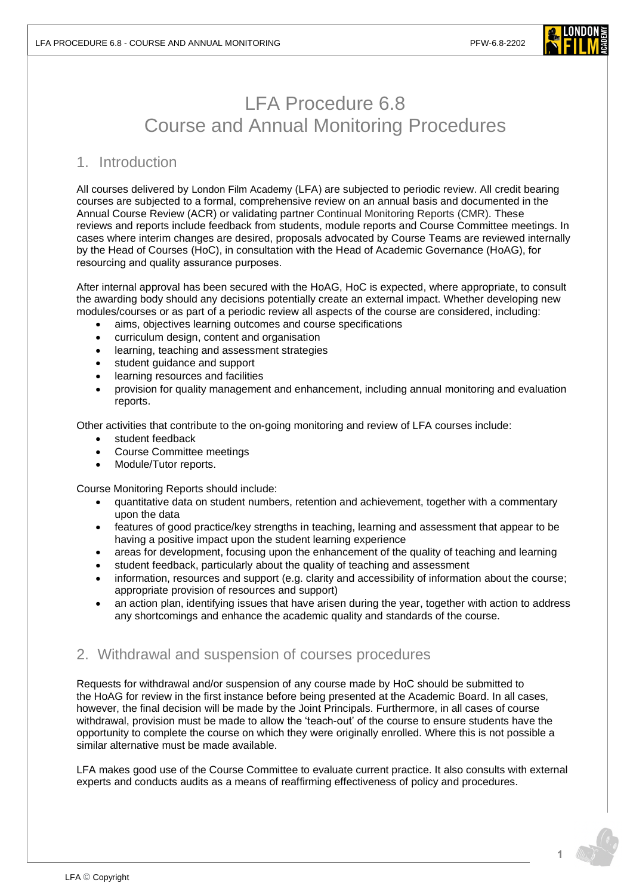

# LFA Procedure 6.8 Course and Annual Monitoring Procedures

## 1. Introduction

All courses delivered by London Film Academy (LFA) are subjected to periodic review. All credit bearing courses are subjected to a formal, comprehensive review on an annual basis and documented in the Annual Course Review (ACR) or validating partner Continual Monitoring Reports (CMR). These reviews and reports include feedback from students, module reports and Course Committee meetings. In cases where interim changes are desired, proposals advocated by Course Teams are reviewed internally by the Head of Courses (HoC), in consultation with the Head of Academic Governance (HoAG), for resourcing and quality assurance purposes.

After internal approval has been secured with the HoAG, HoC is expected, where appropriate, to consult the awarding body should any decisions potentially create an external impact. Whether developing new modules/courses or as part of a periodic review all aspects of the course are considered, including:

- aims, objectives learning outcomes and course specifications
- curriculum design, content and organisation
- learning, teaching and assessment strategies
- student guidance and support
- learning resources and facilities
- provision for quality management and enhancement, including annual monitoring and evaluation reports.

Other activities that contribute to the on-going monitoring and review of LFA courses include:

- student feedback
- Course Committee meetings
- Module/Tutor reports.

Course Monitoring Reports should include:

- quantitative data on student numbers, retention and achievement, together with a commentary upon the data
- features of good practice/key strengths in teaching, learning and assessment that appear to be having a positive impact upon the student learning experience
- areas for development, focusing upon the enhancement of the quality of teaching and learning
- student feedback, particularly about the quality of teaching and assessment
- information, resources and support (e.g. clarity and accessibility of information about the course; appropriate provision of resources and support)
- an action plan, identifying issues that have arisen during the year, together with action to address any shortcomings and enhance the academic quality and standards of the course.

## 2. Withdrawal and suspension of courses procedures

Requests for withdrawal and/or suspension of any course made by HoC should be submitted to the HoAG for review in the first instance before being presented at the Academic Board. In all cases, however, the final decision will be made by the Joint Principals. Furthermore, in all cases of course withdrawal, provision must be made to allow the 'teach-out' of the course to ensure students have the opportunity to complete the course on which they were originally enrolled. Where this is not possible a similar alternative must be made available.

LFA makes good use of the Course Committee to evaluate current practice. It also consults with external experts and conducts audits as a means of reaffirming effectiveness of policy and procedures.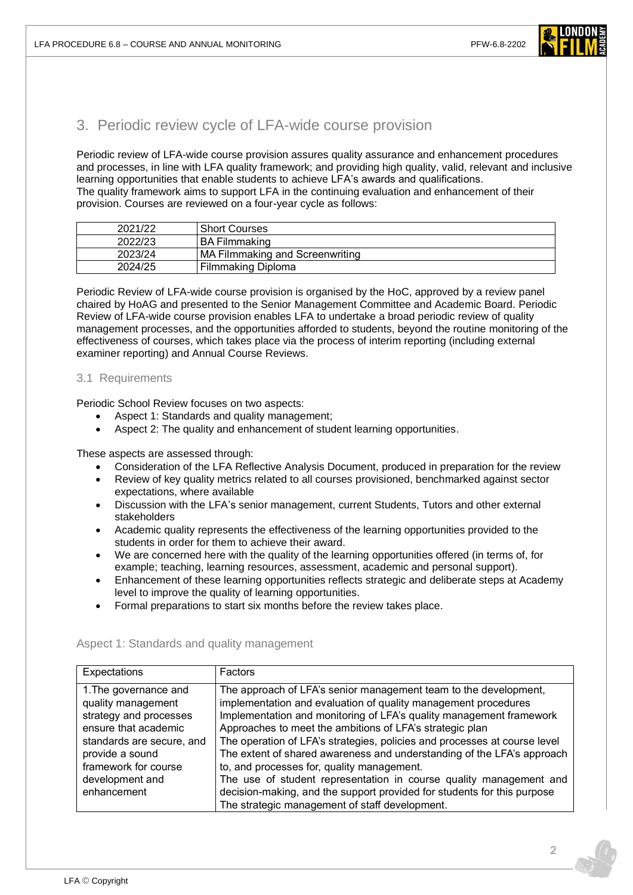

## 3. Periodic review cycle of LFA-wide course provision

Periodic review of LFA-wide course provision assures quality assurance and enhancement procedures and processes, in line with LFA quality framework; and providing high quality, valid, relevant and inclusive learning opportunities that enable students to achieve LFA's awards and qualifications. The quality framework aims to support LFA in the continuing evaluation and enhancement of their provision. Courses are reviewed on a four-year cycle as follows:

| 2021/22 | <b>Short Courses</b>            |
|---------|---------------------------------|
| 2022/23 | I BA Filmmaking                 |
| 2023/24 | MA Filmmaking and Screenwriting |
| 2024/25 | Filmmaking Diploma              |

Periodic Review of LFA-wide course provision is organised by the HoC, approved by a review panel chaired by HoAG and presented to the Senior Management Committee and Academic Board. Periodic Review of LFA-wide course provision enables LFA to undertake a broad periodic review of quality management processes, and the opportunities afforded to students, beyond the routine monitoring of the effectiveness of courses, which takes place via the process of interim reporting (including external examiner reporting) and Annual Course Reviews.

#### 3.1 Requirements

Periodic School Review focuses on two aspects:

- Aspect 1: Standards and quality management;
- Aspect 2: The quality and enhancement of student learning opportunities.

These aspects are assessed through:

- Consideration of the LFA Reflective Analysis Document, produced in preparation for the review
- Review of key quality metrics related to all courses provisioned, benchmarked against sector expectations, where available
- Discussion with the LFA's senior management, current Students, Tutors and other external stakeholders
- Academic quality represents the effectiveness of the learning opportunities provided to the students in order for them to achieve their award.
- We are concerned here with the quality of the learning opportunities offered (in terms of, for example; teaching, learning resources, assessment, academic and personal support).
- Enhancement of these learning opportunities reflects strategic and deliberate steps at Academy level to improve the quality of learning opportunities.
- Formal preparations to start six months before the review takes place.

| Expectations              | Factors                                                                   |  |  |
|---------------------------|---------------------------------------------------------------------------|--|--|
| 1. The governance and     | The approach of LFA's senior management team to the development,          |  |  |
| quality management        | implementation and evaluation of quality management procedures            |  |  |
| strategy and processes    | Implementation and monitoring of LFA's quality management framework       |  |  |
| ensure that academic      | Approaches to meet the ambitions of LFA's strategic plan                  |  |  |
| standards are secure, and | The operation of LFA's strategies, policies and processes at course level |  |  |
| provide a sound           | The extent of shared awareness and understanding of the LFA's approach    |  |  |
| framework for course      | to, and processes for, quality management.                                |  |  |
| development and           | The use of student representation in course quality management and        |  |  |
| enhancement               | decision-making, and the support provided for students for this purpose   |  |  |
|                           | The strategic management of staff development.                            |  |  |

#### Aspect 1: Standards and quality management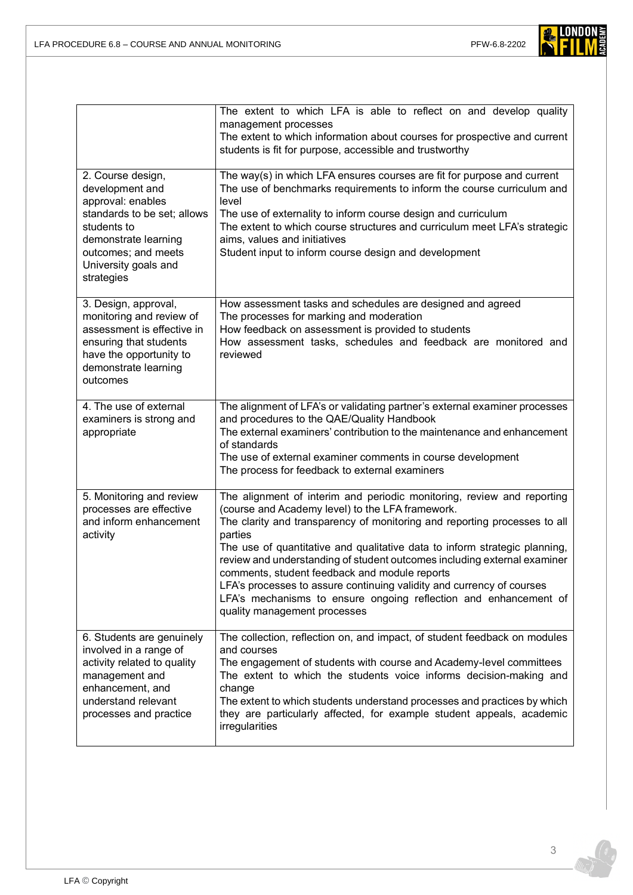

|                                                                                                                                                                                              | The extent to which LFA is able to reflect on and develop quality<br>management processes<br>The extent to which information about courses for prospective and current<br>students is fit for purpose, accessible and trustworthy                                                                                                                                                                                                                                                                                                                                                                          |  |  |
|----------------------------------------------------------------------------------------------------------------------------------------------------------------------------------------------|------------------------------------------------------------------------------------------------------------------------------------------------------------------------------------------------------------------------------------------------------------------------------------------------------------------------------------------------------------------------------------------------------------------------------------------------------------------------------------------------------------------------------------------------------------------------------------------------------------|--|--|
| 2. Course design,<br>development and<br>approval: enables<br>standards to be set; allows<br>students to<br>demonstrate learning<br>outcomes; and meets<br>University goals and<br>strategies | The way(s) in which LFA ensures courses are fit for purpose and current<br>The use of benchmarks requirements to inform the course curriculum and<br>level<br>The use of externality to inform course design and curriculum<br>The extent to which course structures and curriculum meet LFA's strategic<br>aims, values and initiatives<br>Student input to inform course design and development                                                                                                                                                                                                          |  |  |
| 3. Design, approval,<br>monitoring and review of<br>assessment is effective in<br>ensuring that students<br>have the opportunity to<br>demonstrate learning<br>outcomes                      | How assessment tasks and schedules are designed and agreed<br>The processes for marking and moderation<br>How feedback on assessment is provided to students<br>How assessment tasks, schedules and feedback are monitored and<br>reviewed                                                                                                                                                                                                                                                                                                                                                                 |  |  |
| 4. The use of external<br>examiners is strong and<br>appropriate                                                                                                                             | The alignment of LFA's or validating partner's external examiner processes<br>and procedures to the QAE/Quality Handbook<br>The external examiners' contribution to the maintenance and enhancement<br>of standards<br>The use of external examiner comments in course development<br>The process for feedback to external examiners                                                                                                                                                                                                                                                                       |  |  |
| 5. Monitoring and review<br>processes are effective<br>and inform enhancement<br>activity                                                                                                    | The alignment of interim and periodic monitoring, review and reporting<br>(course and Academy level) to the LFA framework.<br>The clarity and transparency of monitoring and reporting processes to all<br>parties<br>The use of quantitative and qualitative data to inform strategic planning,<br>review and understanding of student outcomes including external examiner<br>comments, student feedback and module reports<br>LFA's processes to assure continuing validity and currency of courses<br>LFA's mechanisms to ensure ongoing reflection and enhancement of<br>quality management processes |  |  |
| 6. Students are genuinely<br>involved in a range of<br>activity related to quality<br>management and<br>enhancement, and<br>understand relevant<br>processes and practice                    | The collection, reflection on, and impact, of student feedback on modules<br>and courses<br>The engagement of students with course and Academy-level committees<br>The extent to which the students voice informs decision-making and<br>change<br>The extent to which students understand processes and practices by which<br>they are particularly affected, for example student appeals, academic<br>irregularities                                                                                                                                                                                     |  |  |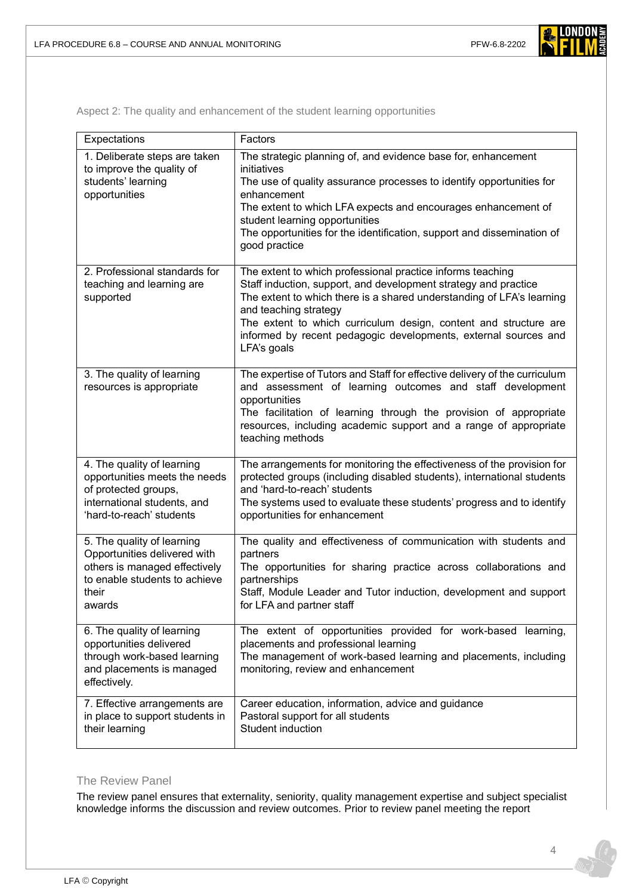Aspect 2: The quality and enhancement of the student learning opportunities

| Expectations                                                                                                                                    | Factors                                                                                                                                                                                                                                                                                                                                                                               |  |  |
|-------------------------------------------------------------------------------------------------------------------------------------------------|---------------------------------------------------------------------------------------------------------------------------------------------------------------------------------------------------------------------------------------------------------------------------------------------------------------------------------------------------------------------------------------|--|--|
| 1. Deliberate steps are taken<br>to improve the quality of<br>students' learning<br>opportunities                                               | The strategic planning of, and evidence base for, enhancement<br>initiatives<br>The use of quality assurance processes to identify opportunities for<br>enhancement<br>The extent to which LFA expects and encourages enhancement of<br>student learning opportunities<br>The opportunities for the identification, support and dissemination of<br>good practice                     |  |  |
| 2. Professional standards for<br>teaching and learning are<br>supported                                                                         | The extent to which professional practice informs teaching<br>Staff induction, support, and development strategy and practice<br>The extent to which there is a shared understanding of LFA's learning<br>and teaching strategy<br>The extent to which curriculum design, content and structure are<br>informed by recent pedagogic developments, external sources and<br>LFA's goals |  |  |
| 3. The quality of learning<br>resources is appropriate                                                                                          | The expertise of Tutors and Staff for effective delivery of the curriculum<br>and assessment of learning outcomes and staff development<br>opportunities<br>The facilitation of learning through the provision of appropriate<br>resources, including academic support and a range of appropriate<br>teaching methods                                                                 |  |  |
| 4. The quality of learning<br>opportunities meets the needs<br>of protected groups,<br>international students, and<br>'hard-to-reach' students  | The arrangements for monitoring the effectiveness of the provision for<br>protected groups (including disabled students), international students<br>and 'hard-to-reach' students<br>The systems used to evaluate these students' progress and to identify<br>opportunities for enhancement                                                                                            |  |  |
| 5. The quality of learning<br>Opportunities delivered with<br>others is managed effectively<br>to enable students to achieve<br>their<br>awards | The quality and effectiveness of communication with students and<br>partners<br>The opportunities for sharing practice across collaborations and<br>partnerships<br>Staff, Module Leader and Tutor induction, development and support<br>for LFA and partner staff                                                                                                                    |  |  |
| 6. The quality of learning<br>opportunities delivered<br>through work-based learning<br>and placements is managed<br>effectively.               | The extent of opportunities provided for work-based learning,<br>placements and professional learning<br>The management of work-based learning and placements, including<br>monitoring, review and enhancement                                                                                                                                                                        |  |  |
| 7. Effective arrangements are<br>in place to support students in<br>their learning                                                              | Career education, information, advice and guidance<br>Pastoral support for all students<br>Student induction                                                                                                                                                                                                                                                                          |  |  |

#### The Review Panel

The review panel ensures that externality, seniority, quality management expertise and subject specialist knowledge informs the discussion and review outcomes. Prior to review panel meeting the report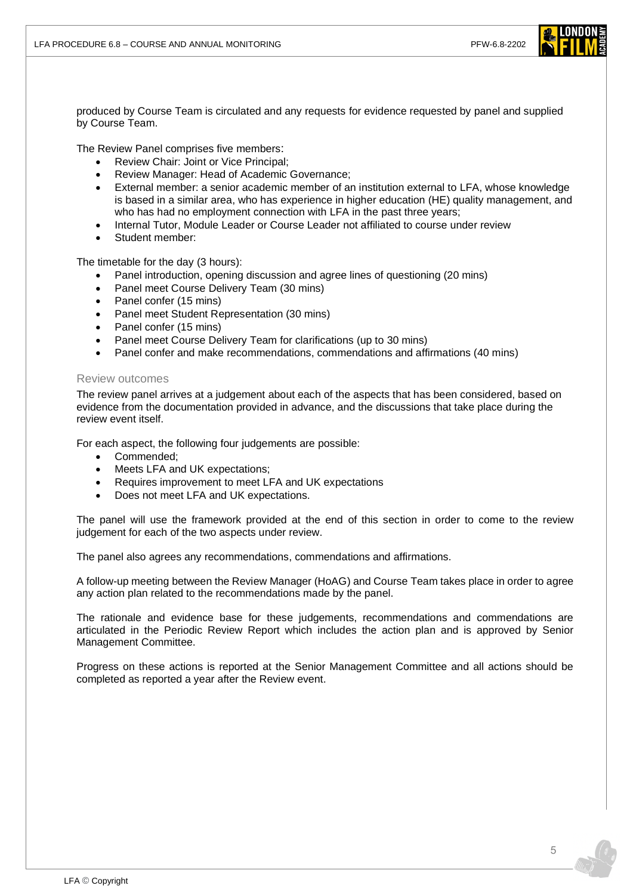

produced by Course Team is circulated and any requests for evidence requested by panel and supplied by Course Team.

The Review Panel comprises five members:

- Review Chair: Joint or Vice Principal;
- Review Manager: Head of Academic Governance;
- External member: a senior academic member of an institution external to LFA, whose knowledge is based in a similar area, who has experience in higher education (HE) quality management, and who has had no employment connection with LFA in the past three years;
- Internal Tutor, Module Leader or Course Leader not affiliated to course under review
- Student member:

The timetable for the day (3 hours):

- Panel introduction, opening discussion and agree lines of questioning (20 mins)
- Panel meet Course Delivery Team (30 mins)
- Panel confer (15 mins)
- Panel meet Student Representation (30 mins)
- Panel confer (15 mins)
- Panel meet Course Delivery Team for clarifications (up to 30 mins)
- Panel confer and make recommendations, commendations and affirmations (40 mins)

#### Review outcomes

The review panel arrives at a judgement about each of the aspects that has been considered, based on evidence from the documentation provided in advance, and the discussions that take place during the review event itself.

For each aspect, the following four judgements are possible:

- Commended;
- Meets LFA and UK expectations;
- Requires improvement to meet LFA and UK expectations
- Does not meet LFA and UK expectations.

The panel will use the framework provided at the end of this section in order to come to the review judgement for each of the two aspects under review.

The panel also agrees any recommendations, commendations and affirmations.

A follow-up meeting between the Review Manager (HoAG) and Course Team takes place in order to agree any action plan related to the recommendations made by the panel.

The rationale and evidence base for these judgements, recommendations and commendations are articulated in the Periodic Review Report which includes the action plan and is approved by Senior Management Committee.

Progress on these actions is reported at the Senior Management Committee and all actions should be completed as reported a year after the Review event.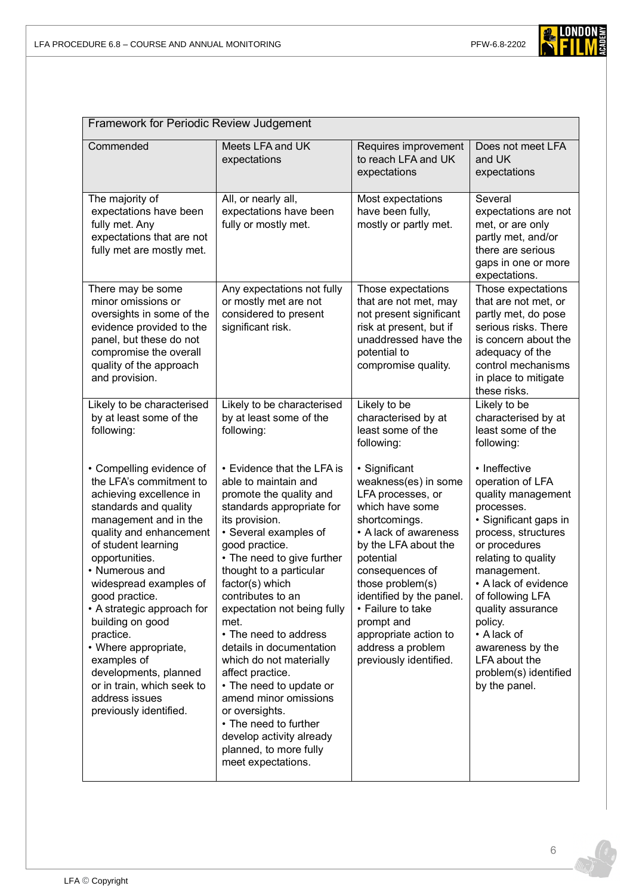

| Framework for Periodic Review Judgement                                                                                                                                                                                                                                                                                                                                                                                                                                     |                                                                                                                                                                                                                                                                                                                                                                                                                                                                                                                                                                                                |                                                                                                                                                                                                                                                                                                                                            |                                                                                                                                                                                                                                                                                                                                                        |  |  |
|-----------------------------------------------------------------------------------------------------------------------------------------------------------------------------------------------------------------------------------------------------------------------------------------------------------------------------------------------------------------------------------------------------------------------------------------------------------------------------|------------------------------------------------------------------------------------------------------------------------------------------------------------------------------------------------------------------------------------------------------------------------------------------------------------------------------------------------------------------------------------------------------------------------------------------------------------------------------------------------------------------------------------------------------------------------------------------------|--------------------------------------------------------------------------------------------------------------------------------------------------------------------------------------------------------------------------------------------------------------------------------------------------------------------------------------------|--------------------------------------------------------------------------------------------------------------------------------------------------------------------------------------------------------------------------------------------------------------------------------------------------------------------------------------------------------|--|--|
| Commended                                                                                                                                                                                                                                                                                                                                                                                                                                                                   | Meets LFA and UK<br>expectations                                                                                                                                                                                                                                                                                                                                                                                                                                                                                                                                                               | Requires improvement<br>to reach LFA and UK<br>expectations                                                                                                                                                                                                                                                                                | Does not meet LFA<br>and UK<br>expectations                                                                                                                                                                                                                                                                                                            |  |  |
| The majority of<br>expectations have been<br>fully met. Any<br>expectations that are not<br>fully met are mostly met.                                                                                                                                                                                                                                                                                                                                                       | All, or nearly all,<br>expectations have been<br>fully or mostly met.                                                                                                                                                                                                                                                                                                                                                                                                                                                                                                                          | Most expectations<br>have been fully,<br>mostly or partly met.                                                                                                                                                                                                                                                                             | Several<br>expectations are not<br>met, or are only<br>partly met, and/or<br>there are serious<br>gaps in one or more<br>expectations.                                                                                                                                                                                                                 |  |  |
| There may be some<br>minor omissions or<br>oversights in some of the<br>evidence provided to the<br>panel, but these do not<br>compromise the overall<br>quality of the approach<br>and provision.                                                                                                                                                                                                                                                                          | Any expectations not fully<br>or mostly met are not<br>considered to present<br>significant risk.                                                                                                                                                                                                                                                                                                                                                                                                                                                                                              | Those expectations<br>that are not met, may<br>not present significant<br>risk at present, but if<br>unaddressed have the<br>potential to<br>compromise quality.                                                                                                                                                                           | Those expectations<br>that are not met, or<br>partly met, do pose<br>serious risks. There<br>is concern about the<br>adequacy of the<br>control mechanisms<br>in place to mitigate<br>these risks.                                                                                                                                                     |  |  |
| Likely to be characterised<br>by at least some of the<br>following:                                                                                                                                                                                                                                                                                                                                                                                                         | Likely to be characterised<br>by at least some of the<br>following:                                                                                                                                                                                                                                                                                                                                                                                                                                                                                                                            | Likely to be<br>characterised by at<br>least some of the<br>following:                                                                                                                                                                                                                                                                     | Likely to be<br>characterised by at<br>least some of the<br>following:                                                                                                                                                                                                                                                                                 |  |  |
| • Compelling evidence of<br>the LFA's commitment to<br>achieving excellence in<br>standards and quality<br>management and in the<br>quality and enhancement<br>of student learning<br>opportunities.<br>• Numerous and<br>widespread examples of<br>good practice.<br>• A strategic approach for<br>building on good<br>practice.<br>• Where appropriate,<br>examples of<br>developments, planned<br>or in train, which seek to<br>address issues<br>previously identified. | • Evidence that the LFA is<br>able to maintain and<br>promote the quality and<br>standards appropriate for<br>its provision.<br>• Several examples of<br>good practice.<br>• The need to give further<br>thought to a particular<br>factor(s) which<br>contributes to an<br>expectation not being fully<br>met.<br>• The need to address<br>details in documentation<br>which do not materially<br>affect practice.<br>• The need to update or<br>amend minor omissions<br>or oversights.<br>• The need to further<br>develop activity already<br>planned, to more fully<br>meet expectations. | · Significant<br>weakness(es) in some<br>LFA processes, or<br>which have some<br>shortcomings.<br>• A lack of awareness<br>by the LFA about the<br>potential<br>consequences of<br>those problem(s)<br>identified by the panel.<br>• Failure to take<br>prompt and<br>appropriate action to<br>address a problem<br>previously identified. | • Ineffective<br>operation of LFA<br>quality management<br>processes.<br>· Significant gaps in<br>process, structures<br>or procedures<br>relating to quality<br>management.<br>• A lack of evidence<br>of following LFA<br>quality assurance<br>policy.<br>• A lack of<br>awareness by the<br>LFA about the<br>problem(s) identified<br>by the panel. |  |  |